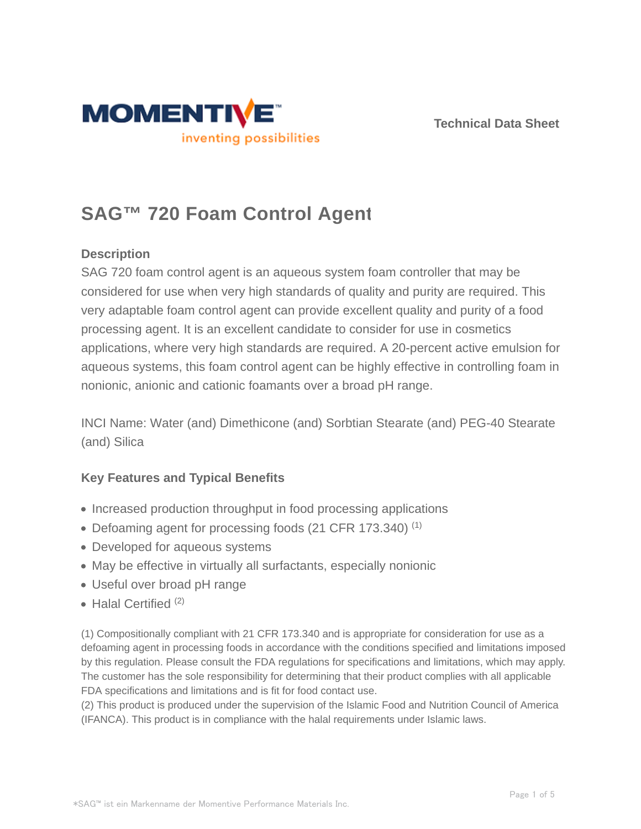



# **SAG™ 720 Foam Control Agent**

## **Description**

SAG 720 foam control agent is an aqueous system foam controller that may be considered for use when very high standards of quality and purity are required. This very adaptable foam control agent can provide excellent quality and purity of a food processing agent. It is an excellent candidate to consider for use in cosmetics applications, where very high standards are required. A 20-percent active emulsion for aqueous systems, this foam control agent can be highly effective in controlling foam in nonionic, anionic and cationic foamants over a broad pH range.

INCI Name: Water (and) Dimethicone (and) Sorbtian Stearate (and) PEG-40 Stearate (and) Silica

## **Key Features and Typical Benefits**

- Increased production throughput in food processing applications
- Defoaming agent for processing foods (21 CFR 173.340)  $(1)$
- Developed for aqueous systems
- May be effective in virtually all surfactants, especially nonionic
- Useful over broad pH range
- $\bullet$  Halal Certified  $(2)$

(1) Compositionally compliant with 21 CFR 173.340 and is appropriate for consideration for use as a defoaming agent in processing foods in accordance with the conditions specified and limitations imposed by this regulation. Please consult the FDA regulations for specifications and limitations, which may apply. The customer has the sole responsibility for determining that their product complies with all applicable FDA specifications and limitations and is fit for food contact use.

(2) This product is produced under the supervision of the Islamic Food and Nutrition Council of America (IFANCA). This product is in compliance with the halal requirements under Islamic laws.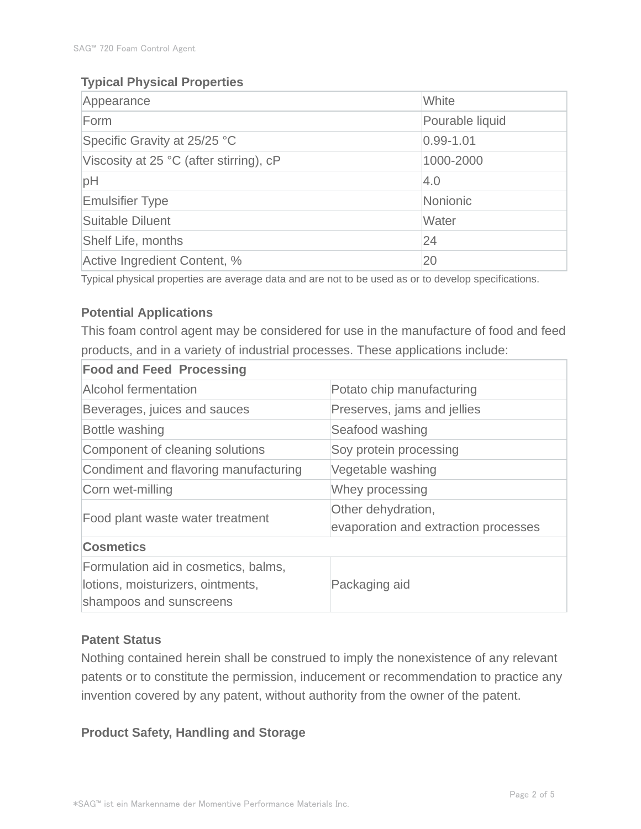## **Typical Physical Properties**

| Appearance                              | White           |  |
|-----------------------------------------|-----------------|--|
| Form                                    | Pourable liquid |  |
| Specific Gravity at 25/25 °C            | $0.99 - 1.01$   |  |
| Viscosity at 25 °C (after stirring), cP | 1000-2000       |  |
| pH                                      | 4.0             |  |
| <b>Emulsifier Type</b>                  | Nonionic        |  |
| Suitable Diluent                        | Water           |  |
| Shelf Life, months                      | 24              |  |
| Active Ingredient Content, %            | 20              |  |

Typical physical properties are average data and are not to be used as or to develop specifications.

## **Potential Applications**

This foam control agent may be considered for use in the manufacture of food and feed products, and in a variety of industrial processes. These applications include:

| <b>Food and Feed Processing</b>                                                                      |                                                            |
|------------------------------------------------------------------------------------------------------|------------------------------------------------------------|
| <b>Alcohol fermentation</b>                                                                          | Potato chip manufacturing                                  |
| Beverages, juices and sauces                                                                         | Preserves, jams and jellies                                |
| Bottle washing                                                                                       | Seafood washing                                            |
| Component of cleaning solutions                                                                      | Soy protein processing                                     |
| Condiment and flavoring manufacturing                                                                | Vegetable washing                                          |
| Corn wet-milling                                                                                     | Whey processing                                            |
| Food plant waste water treatment                                                                     | Other dehydration,<br>evaporation and extraction processes |
| <b>Cosmetics</b>                                                                                     |                                                            |
| Formulation aid in cosmetics, balms,<br>lotions, moisturizers, ointments,<br>shampoos and sunscreens | Packaging aid                                              |

#### **Patent Status**

Nothing contained herein shall be construed to imply the nonexistence of any relevant patents or to constitute the permission, inducement or recommendation to practice any invention covered by any patent, without authority from the owner of the patent.

## **Product Safety, Handling and Storage**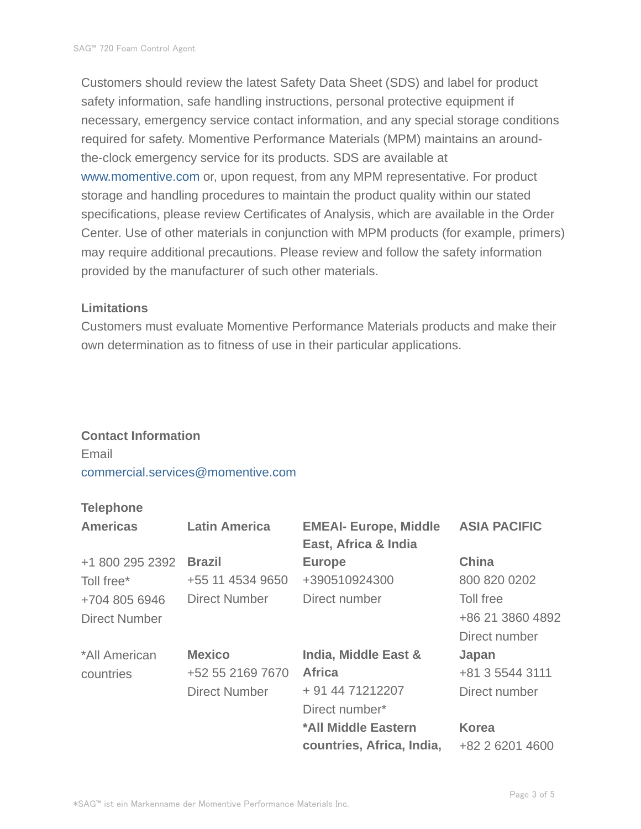Customers should review the latest Safety Data Sheet (SDS) and label for product safety information, safe handling instructions, personal protective equipment if necessary, emergency service contact information, and any special storage conditions required for safety. Momentive Performance Materials (MPM) maintains an aroundthe-clock emergency service for its products. SDS are available at www.momentive.com or, upon request, from any MPM representative. For product storage and handling procedures to maintain the product quality within our stated specifications, please review Certificates of Analysis, which are available in the Order Center. Use of other materials in conjunction with MPM products (for example, primers) may require additional precautions. Please review and follow the safety information provided by the manufacturer of such other materials.

#### **Limitations**

Customers must evaluate Momentive Performance Materials products and make their own determination as to fitness of use in their particular applications.

#### **Contact Information**

Email commercial.services@momentive.com

#### **Telephone**

| <b>Americas</b>      | <b>Latin America</b> | <b>EMEAI- Europe, Middle</b><br>East, Africa & India | <b>ASIA PACIFIC</b> |
|----------------------|----------------------|------------------------------------------------------|---------------------|
| +1 800 295 2392      | <b>Brazil</b>        | <b>Europe</b>                                        | <b>China</b>        |
| Toll free*           | +55 11 4534 9650     | +390510924300                                        | 800 820 0202        |
| +704 805 6946        | <b>Direct Number</b> | Direct number                                        | Toll free           |
| <b>Direct Number</b> |                      |                                                      | +86 21 3860 4892    |
|                      |                      |                                                      | Direct number       |
| *All American        | <b>Mexico</b>        | India, Middle East &                                 | Japan               |
| countries            | +52 55 2169 7670     | <b>Africa</b>                                        | +81 3 5544 3111     |
|                      | <b>Direct Number</b> | + 91 44 71212207                                     | Direct number       |
|                      |                      | Direct number*                                       |                     |
|                      |                      | *All Middle Eastern                                  | <b>Korea</b>        |
|                      |                      | countries, Africa, India,                            | +82 2 6201 4600     |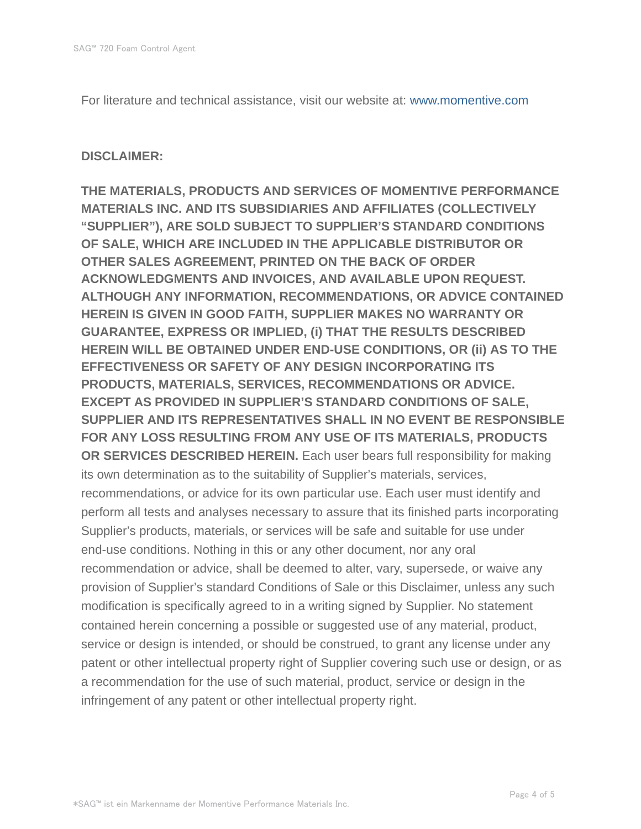For literature and technical assistance, visit our website at: www.momentive.com

#### **DISCLAIMER:**

**THE MATERIALS, PRODUCTS AND SERVICES OF MOMENTIVE PERFORMANCE MATERIALS INC. AND ITS SUBSIDIARIES AND AFFILIATES (COLLECTIVELY "SUPPLIER"), ARE SOLD SUBJECT TO SUPPLIER'S STANDARD CONDITIONS OF SALE, WHICH ARE INCLUDED IN THE APPLICABLE DISTRIBUTOR OR OTHER SALES AGREEMENT, PRINTED ON THE BACK OF ORDER ACKNOWLEDGMENTS AND INVOICES, AND AVAILABLE UPON REQUEST. ALTHOUGH ANY INFORMATION, RECOMMENDATIONS, OR ADVICE CONTAINED HEREIN IS GIVEN IN GOOD FAITH, SUPPLIER MAKES NO WARRANTY OR GUARANTEE, EXPRESS OR IMPLIED, (i) THAT THE RESULTS DESCRIBED HEREIN WILL BE OBTAINED UNDER END-USE CONDITIONS, OR (ii) AS TO THE EFFECTIVENESS OR SAFETY OF ANY DESIGN INCORPORATING ITS PRODUCTS, MATERIALS, SERVICES, RECOMMENDATIONS OR ADVICE. EXCEPT AS PROVIDED IN SUPPLIER'S STANDARD CONDITIONS OF SALE, SUPPLIER AND ITS REPRESENTATIVES SHALL IN NO EVENT BE RESPONSIBLE FOR ANY LOSS RESULTING FROM ANY USE OF ITS MATERIALS, PRODUCTS OR SERVICES DESCRIBED HEREIN.** Each user bears full responsibility for making its own determination as to the suitability of Supplier's materials, services, recommendations, or advice for its own particular use. Each user must identify and perform all tests and analyses necessary to assure that its finished parts incorporating Supplier's products, materials, or services will be safe and suitable for use under end-use conditions. Nothing in this or any other document, nor any oral recommendation or advice, shall be deemed to alter, vary, supersede, or waive any provision of Supplier's standard Conditions of Sale or this Disclaimer, unless any such modification is specifically agreed to in a writing signed by Supplier. No statement contained herein concerning a possible or suggested use of any material, product, service or design is intended, or should be construed, to grant any license under any patent or other intellectual property right of Supplier covering such use or design, or as a recommendation for the use of such material, product, service or design in the infringement of any patent or other intellectual property right.